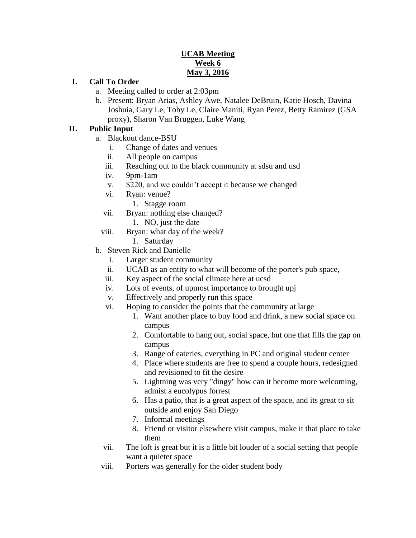### **UCAB Meeting Week 6 May 3, 2016**

#### **I. Call To Order**

- a. Meeting called to order at 2:03pm
- b. Present: Bryan Arias, Ashley Awe, Natalee DeBruin, Katie Hosch, Davina Joshuia, Gary Le, Toby Le, Claire Maniti, Ryan Perez, Betty Ramirez (GSA proxy), Sharon Van Bruggen, Luke Wang

#### **II. Public Input**

- a. Blackout dance-BSU
	- i. Change of dates and venues
	- ii. All people on campus
	- iii. Reaching out to the black community at sdsu and usd
	- iv. 9pm-1am
	- v. \$220, and we couldn't accept it because we changed
	- vi. Ryan: venue?
		- 1. Stagge room
	- vii. Bryan: nothing else changed?
		- 1. NO, just the date
	- viii. Bryan: what day of the week?
		- 1. Saturday
- b. Steven Rick and Danielle
	- i. Larger student community
	- ii. UCAB as an entity to what will become of the porter's pub space,
	- iii. Key aspect of the social climate here at ucsd
	- iv. Lots of events, of upmost importance to brought upj
	- v. Effectively and properly run this space
	- vi. Hoping to consider the points that the community at large
		- 1. Want another place to buy food and drink, a new social space on campus
		- 2. Comfortable to hang out, social space, but one that fills the gap on campus
		- 3. Range of eateries, everything in PC and original student center
		- 4. Place where students are free to spend a couple hours, redesigned and revisioned to fit the desire
		- 5. Lightning was very "dingy" how can it become more welcoming, admist a eucolypus forrest
		- 6. Has a patio, that is a great aspect of the space, and its great to sit outside and enjoy San Diego
		- 7. Informal meetings
		- 8. Friend or visitor elsewhere visit campus, make it that place to take them
	- vii. The loft is great but it is a little bit louder of a social setting that people want a quieter space
	- viii. Porters was generally for the older student body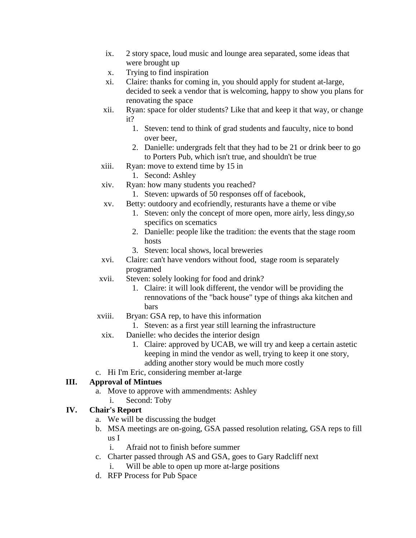- ix. 2 story space, loud music and lounge area separated, some ideas that were brought up
- x. Trying to find inspiration
- xi. Claire: thanks for coming in, you should apply for student at-large, decided to seek a vendor that is welcoming, happy to show you plans for renovating the space
- xii. Ryan: space for older students? Like that and keep it that way, or change it?
	- 1. Steven: tend to think of grad students and fauculty, nice to bond over beer,
	- 2. Danielle: undergrads felt that they had to be 21 or drink beer to go to Porters Pub, which isn't true, and shouldn't be true
- xiii. Ryan: move to extend time by 15 in
	- 1. Second: Ashley
- xiv. Ryan: how many students you reached?
	- 1. Steven: upwards of 50 responses off of facebook,
- xv. Betty: outdoory and ecofriendly, resturants have a theme or vibe
	- 1. Steven: only the concept of more open, more airly, less dingy,so specifics on scematics
	- 2. Danielle: people like the tradition: the events that the stage room hosts
	- 3. Steven: local shows, local breweries
- xvi. Claire: can't have vendors without food, stage room is separately programed
- xvii. Steven: solely looking for food and drink?
	- 1. Claire: it will look different, the vendor will be providing the rennovations of the "back house" type of things aka kitchen and bars
- xviii. Bryan: GSA rep, to have this information
	- 1. Steven: as a first year still learning the infrastructure
- xix. Danielle: who decides the interior design
	- 1. Claire: approved by UCAB, we will try and keep a certain astetic keeping in mind the vendor as well, trying to keep it one story, adding another story would be much more costly
- c. Hi I'm Eric, considering member at-large

## **III. Approval of Mintues**

- a. Move to approve with ammendments: Ashley
	- i. Second: Toby

## **IV. Chair's Report**

- a. We will be discussing the budget
- b. MSA meetings are on-going, GSA passed resolution relating, GSA reps to fill us I
	- i. Afraid not to finish before summer
- c. Charter passed through AS and GSA, goes to Gary Radcliff next
	- Will be able to open up more at-large positions
- d. RFP Process for Pub Space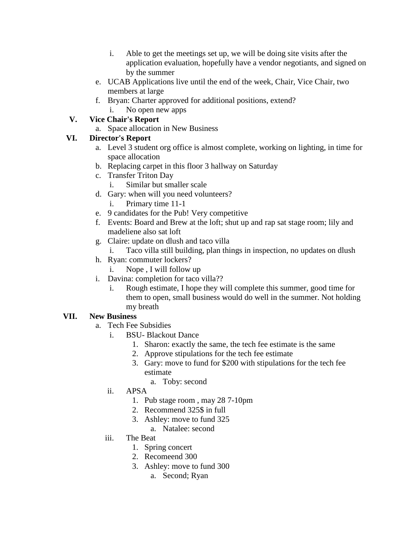- i. Able to get the meetings set up, we will be doing site visits after the application evaluation, hopefully have a vendor negotiants, and signed on by the summer
- e. UCAB Applications live until the end of the week, Chair, Vice Chair, two members at large
- f. Bryan: Charter approved for additional positions, extend?
	- i. No open new apps

## **V. Vice Chair's Report**

a. Space allocation in New Business

# **VI. Director's Report**

- a. Level 3 student org office is almost complete, working on lighting, in time for space allocation
- b. Replacing carpet in this floor 3 hallway on Saturday
- c. Transfer Triton Day
	- i. Similar but smaller scale
- d. Gary: when will you need volunteers?
	- i. Primary time 11-1
- e. 9 candidates for the Pub! Very competitive
- f. Events: Board and Brew at the loft; shut up and rap sat stage room; lily and madeliene also sat loft
- g. Claire: update on dlush and taco villa
	- i. Taco villa still building, plan things in inspection, no updates on dlush
- h. Ryan: commuter lockers?
	- i. Nope , I will follow up
- i. Davina: completion for taco villa??
	- i. Rough estimate, I hope they will complete this summer, good time for them to open, small business would do well in the summer. Not holding my breath

# **VII. New Business**

- a. Tech Fee Subsidies
	- i. BSU- Blackout Dance
		- 1. Sharon: exactly the same, the tech fee estimate is the same
		- 2. Approve stipulations for the tech fee estimate
		- 3. Gary: move to fund for \$200 with stipulations for the tech fee estimate
			- a. Toby: second
	- ii. APSA
		- 1. Pub stage room , may 28 7-10pm
		- 2. Recommend 325\$ in full
		- 3. Ashley: move to fund 325
			- a. Natalee: second
	- iii. The Beat
		- 1. Spring concert
		- 2. Recomeend 300
		- 3. Ashley: move to fund 300
			- a. Second; Ryan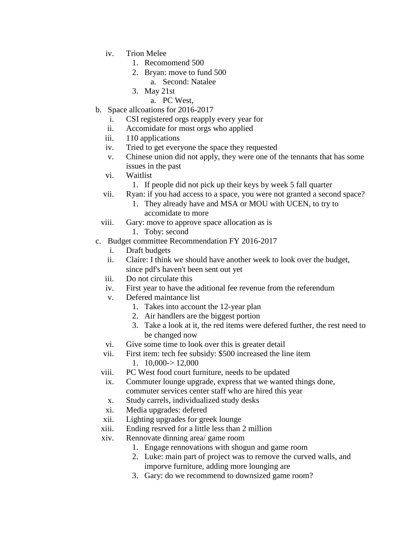- iv. Trion Melee
	- 1. Recomomend 500
	- 2. Bryan: move to fund 500
		- a. Second: Natalee
	- 3. May 21st
		- a. PC West,
- b. Space allcoations for 2016-2017
	- i. CSI registered orgs reapply every year for
	- ii. Accomidate for most orgs who applied
	- iii. 110 applications
	- iv. Tried to get everyone the space they requested
	- v. Chinese union did not apply, they were one of the tennants that has some issues in the past
	- vi. Waitlist
		- 1. If people did not pick up their keys by week 5 fall quarter
	- vii. Ryan: if you had access to a space, you were not granted a second space?
		- 1. They already have and MSA or MOU with UCEN, to try to accomidate to more
	- viii. Gary: move to approve space allocation as is
		- 1. Toby: second
- c. Budget committee Recommendation FY 2016-2017
	- i. Draft budgets
	- ii. Claire: I think we should have another week to look over the budget, since pdf's haven't been sent out yet
	- iii. Do not circulate this
	- iv. First year to have the aditional fee revenue from the referendum
	- v. Defered maintance list
		- 1. Takes into account the 12-year plan
		- 2. Air handlers are the biggest portion
		- 3. Take a look at it, the red items were defered further, the rest need to be changed now
	- vi. Give some time to look over this is greater detail
	- vii. First item: tech fee subsidy: \$500 increased the line item 1.  $10,000 \rightarrow 12,000$
	- viii. PC West food court furniture, needs to be updated
	- ix. Commuter lounge upgrade, express that we wanted things done, commuter services center staff who are hired this year
	- x. Study carrels, individualized study desks
	- xi. Media upgrades: defered
	- xii. Lighting upgrades for greek lounge
	- xiii. Ending resrved for a little less than 2 million
	- xiv. Rennovate dinning area/ game room
		- 1. Engage rennovations with shogun and game room
		- 2. Luke: main part of project was to remove the curved walls, and imporve furniture, adding more lounging are
		- 3. Gary: do we recommend to downsized game room?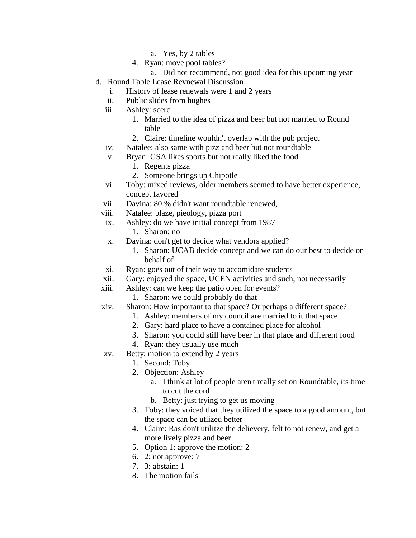- a. Yes, by 2 tables
- 4. Ryan: move pool tables?
	- a. Did not recommend, not good idea for this upcoming year
- d. Round Table Lease Revnewal Discussion
	- i. History of lease renewals were 1 and 2 years
	- ii. Public slides from hughes
	- iii. Ashley: scerc
		- 1. Married to the idea of pizza and beer but not married to Round table
		- 2. Claire: timeline wouldn't overlap with the pub project
	- iv. Natalee: also same with pizz and beer but not roundtable
	- v. Bryan: GSA likes sports but not really liked the food
		- 1. Regents pizza
		- 2. Someone brings up Chipotle
	- vi. Toby: mixed reviews, older members seemed to have better experience, concept favored
	- vii. Davina: 80 % didn't want roundtable renewed,
	- viii. Natalee: blaze, pieology, pizza port
	- ix. Ashley: do we have initial concept from 1987
		- 1. Sharon: no
	- x. Davina: don't get to decide what vendors applied?
		- 1. Sharon: UCAB decide concept and we can do our best to decide on behalf of
	- xi. Ryan: goes out of their way to accomidate students
	- xii. Gary: enjoyed the space, UCEN activities and such, not necessarily
	- xiii. Ashley: can we keep the patio open for events?
		- 1. Sharon: we could probably do that
	- xiv. Sharon: How important to that space? Or perhaps a different space?
		- 1. Ashley: members of my council are married to it that space
		- 2. Gary: hard place to have a contained place for alcohol
		- 3. Sharon: you could still have beer in that place and different food
		- 4. Ryan: they usually use much
	- xv. Betty: motion to extend by 2 years
		- 1. Second: Toby
		- 2. Objection: Ashley
			- a. I think at lot of people aren't really set on Roundtable, its time to cut the cord
			- b. Betty: just trying to get us moving
		- 3. Toby: they voiced that they utilized the space to a good amount, but the space can be utlized better
		- 4. Claire: Ras don't utilitze the delievery, felt to not renew, and get a more lively pizza and beer
		- 5. Option 1: approve the motion: 2
		- 6. 2: not approve: 7
		- 7. 3: abstain: 1
		- 8. The motion fails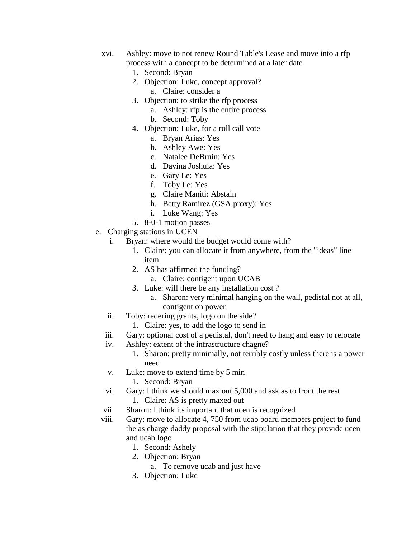- xvi. Ashley: move to not renew Round Table's Lease and move into a rfp process with a concept to be determined at a later date
	- 1. Second: Bryan
	- 2. Objection: Luke, concept approval?
		- a. Claire: consider a
	- 3. Objection: to strike the rfp process
		- a. Ashley: rfp is the entire process
		- b. Second: Toby
	- 4. Objection: Luke, for a roll call vote
		- a. Bryan Arias: Yes
		- b. Ashley Awe: Yes
		- c. Natalee DeBruin: Yes
		- d. Davina Joshuia: Yes
		- e. Gary Le: Yes
		- f. Toby Le: Yes
		- g. Claire Maniti: Abstain
		- h. Betty Ramirez (GSA proxy): Yes
		- i. Luke Wang: Yes
	- 5. 8-0-1 motion passes
- e. Charging stations in UCEN
	- i. Bryan: where would the budget would come with?
		- 1. Claire: you can allocate it from anywhere, from the "ideas" line item
		- 2. AS has affirmed the funding?
			- a. Claire: contigent upon UCAB
		- 3. Luke: will there be any installation cost ?
			- a. Sharon: very minimal hanging on the wall, pedistal not at all, contigent on power
	- ii. Toby: redering grants, logo on the side?
		- 1. Claire: yes, to add the logo to send in
	- iii. Gary: optional cost of a pedistal, don't need to hang and easy to relocate
	- iv. Ashley: extent of the infrastructure chagne?
		- 1. Sharon: pretty minimally, not terribly costly unless there is a power need
	- v. Luke: move to extend time by 5 min
		- 1. Second: Bryan
	- vi. Gary: I think we should max out 5,000 and ask as to front the rest 1. Claire: AS is pretty maxed out
	- vii. Sharon: I think its important that ucen is recognized
	- viii. Gary: move to allocate 4, 750 from ucab board members project to fund the as charge daddy proposal with the stipulation that they provide ucen and ucab logo
		- 1. Second: Ashely
		- 2. Objection: Bryan
			- a. To remove ucab and just have
		- 3. Objection: Luke